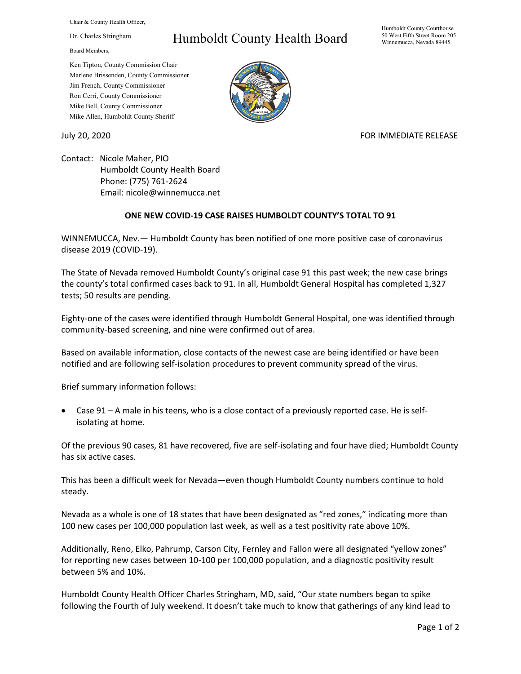Chair & County Health Officer,

Dr. Charles Stringham

Board Members,

## Humboldt County Health Board

Humboldt County Courthouse 50 West Fifth Street Room 205 Winnemucca, Nevada 89445

Ken Tipton, County Commission Chair Marlene Brissenden, County Commissioner Jim French, County Commissioner Ron Cerri, County Commissioner Mike Bell, County Commissioner Mike Allen, Humboldt County Sheriff

## July 20, 2020 FOR IMMEDIATE RELEASE

Contact: Nicole Maher, PIO Humboldt County Health Board Phone: (775) 761-2624 Email: nicole@winnemucca.net

## **ONE NEW COVID-19 CASE RAISES HUMBOLDT COUNTY'S TOTAL TO 91**

WINNEMUCCA, Nev.— Humboldt County has been notified of one more positive case of coronavirus disease 2019 (COVID-19).

The State of Nevada removed Humboldt County's original case 91 this past week; the new case brings the county's total confirmed cases back to 91. In all, Humboldt General Hospital has completed 1,327 tests; 50 results are pending.

Eighty-one of the cases were identified through Humboldt General Hospital, one was identified through community-based screening, and nine were confirmed out of area.

Based on available information, close contacts of the newest case are being identified or have been notified and are following self-isolation procedures to prevent community spread of the virus.

Brief summary information follows:

• Case 91 – A male in his teens, who is a close contact of a previously reported case. He is selfisolating at home.

Of the previous 90 cases, 81 have recovered, five are self-isolating and four have died; Humboldt County has six active cases.

This has been a difficult week for Nevada—even though Humboldt County numbers continue to hold steady.

Nevada as a whole is one of 18 states that have been designated as "red zones," indicating more than 100 new cases per 100,000 population last week, as well as a test positivity rate above 10%.

Additionally, Reno, Elko, Pahrump, Carson City, Fernley and Fallon were all designated "yellow zones" for reporting new cases between 10-100 per 100,000 population, and a diagnostic positivity result between 5% and 10%.

Humboldt County Health Officer Charles Stringham, MD, said, "Our state numbers began to spike following the Fourth of July weekend. It doesn't take much to know that gatherings of any kind lead to